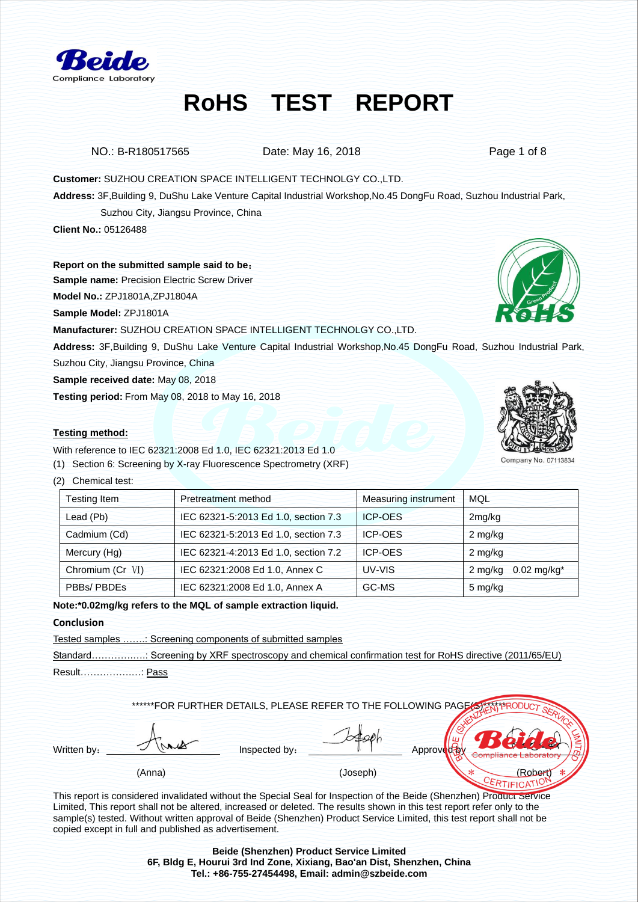

NO.: B-R180517565 Date: May 16, 2018 Date: May 16, 2018

**Customer:** SUZHOU CREATION SPACE INTELLIGENT TECHNOLGY CO.,LTD.

**Address:** 3F,Building 9, DuShu Lake Venture Capital Industrial Workshop,No.45 DongFu Road, Suzhou Industrial Park,

Suzhou City, Jiangsu Province, China

**Client No.:** 05126488

**Report on the submitted sample said to be**:

**Sample name:** Precision Electric Screw Driver

**Model No.:** ZPJ1801A,ZPJ1804A

**Sample Model:** ZPJ1801A

**Manufacturer:** SUZHOU CREATION SPACE INTELLIGENT TECHNOLGY CO.,LTD.

**Address:** 3F,Building 9, DuShu Lake Venture Capital Industrial Workshop,No.45 DongFu Road, Suzhou Industrial Park, Suzhou City, Jiangsu Province, China

**Sample received date:** May 08, 2018

**Testing period:** From May 08, 2018 to May 16, 2018

### **Testing method:**

With reference to IEC 62321:2008 Ed 1.0, IEC 62321:2013 Ed 1.0

(1) Section 6: Screening by X-ray Fluorescence Spectrometry (XRF)

(2) Chemical test:

| Testing Item     | Pretreatment method                  | <b>Measuring instrument</b> | MQL                                  |
|------------------|--------------------------------------|-----------------------------|--------------------------------------|
| Lead (Pb)        | IEC 62321-5:2013 Ed 1.0, section 7.3 | <b>ICP-OES</b>              | 2mg/kg                               |
| Cadmium (Cd)     | IEC 62321-5:2013 Ed 1.0, section 7.3 | ICP-OES                     | 2 mg/kg                              |
| Mercury (Hg)     | IEC 62321-4:2013 Ed 1.0, section 7.2 | <b>ICP-OES</b>              | 2 mg/kg                              |
| Chromium (Cr VI) | IEC 62321:2008 Ed 1.0, Annex C       | UV-VIS                      | $0.02$ mg/kg <sup>*</sup><br>2 mg/kg |
| PBBs/ PBDEs      | IEC 62321:2008 Ed 1.0, Annex A       | GC-MS                       | 5 mg/kg                              |

**Note:\*0.02mg/kg refers to the MQL of sample extraction liquid.** 

### **Conclusion**

Tested samples …….: Screening components of submitted samples

Standard…………………: Screening by XRF spectroscopy and chemical confirmation test for RoHS directive (2011/65/EU) Result…………….…: Pass

\*\*\*\*\*\*FOR FURTHER DETAILS, PLEASE REFER TO THE FOLLOWING PAGE(S):

Written by:  $\frac{1}{2}$   $\frac{1}{2}$  inspected by:  $\frac{1}{2}$  Approved  $\frac{1}{2}$ 

(Anna) (Joseph)  $*$  (Robert)

This report is considered invalidated without the Special Seal for Inspection of the Beide (Shenzhen) Product Service Limited, This report shall not be altered, increased or deleted. The results shown in this test report refer only to the sample(s) tested. Without written approval of Beide (Shenzhen) Product Service Limited, this test report shall not be copied except in full and published as advertisement.

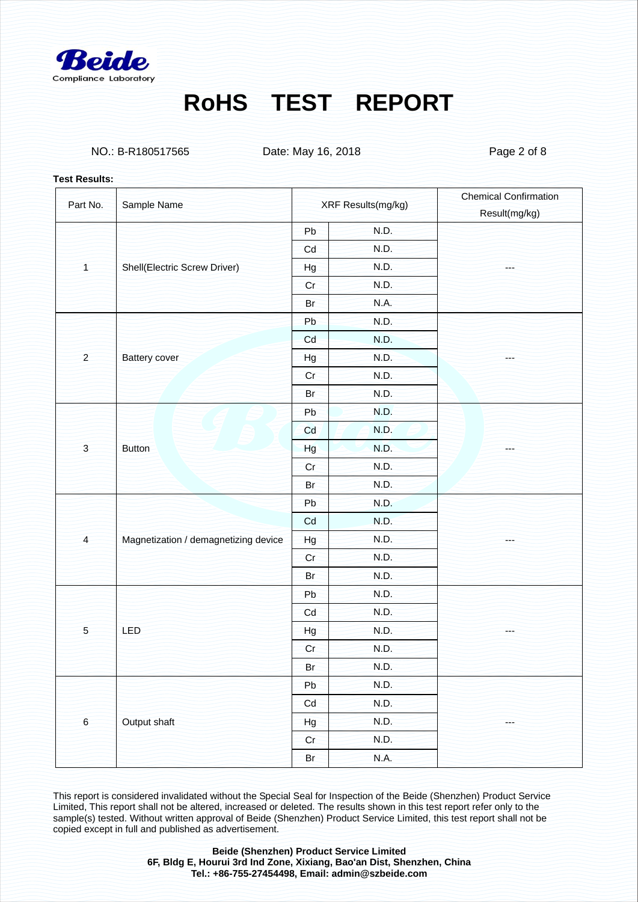

NO.: B-R180517565 Date: May 16, 2018 Date: May 16, 2018

#### **Test Results:**

| Part No.       | Sample Name                          |           | XRF Results(mg/kg) | <b>Chemical Confirmation</b> |
|----------------|--------------------------------------|-----------|--------------------|------------------------------|
|                |                                      |           |                    | Result(mg/kg)                |
|                |                                      | Pb        | N.D.               |                              |
|                |                                      | Cd        | N.D.               |                              |
| $\overline{1}$ | Shell(Electric Screw Driver)         | Hg        | N.D.               | ---                          |
|                |                                      | Cr        | N.D.               |                              |
|                |                                      | <b>Br</b> | N.A.               |                              |
|                |                                      | Pb        | N.D.               |                              |
|                |                                      | Cd        | N.D.               |                              |
| $\overline{a}$ | <b>Battery cover</b>                 | Hg        | N.D.               |                              |
|                |                                      | Cr        | N.D.               |                              |
|                |                                      | Br        | N.D.               |                              |
|                |                                      | Pb        | N.D.               |                              |
|                |                                      | Cd        | N.D.               |                              |
| $\overline{3}$ | <b>Button</b>                        | Hg        | N.D.               | ---                          |
|                |                                      | Cr        | N.D.               |                              |
|                |                                      | Br        | N.D.               |                              |
|                | Magnetization / demagnetizing device | Pb        | N.D.               |                              |
|                |                                      | Cd        | N.D.               |                              |
| $\overline{4}$ |                                      | Hg        | N.D.               | ---                          |
|                |                                      | Cr        | N.D.               |                              |
|                |                                      | Br        | N.D.               |                              |
|                | LED                                  | Pb        | N.D.               |                              |
|                |                                      | Cd        | N.D.               |                              |
| 5              |                                      | Hg        | N.D.               | ---                          |
|                |                                      | Cr        | N.D.               |                              |
|                |                                      | Br        | N.D.               |                              |
| $6\phantom{a}$ | Output shaft                         | Pb        | N.D.               |                              |
|                |                                      | Cd        | N.D.               |                              |
|                |                                      | Hg        | N.D.               | ---                          |
|                |                                      | Cr        | N.D.               |                              |
|                |                                      | Br        | N.A.               |                              |
|                |                                      |           |                    |                              |

This report is considered invalidated without the Special Seal for Inspection of the Beide (Shenzhen) Product Service Limited, This report shall not be altered, increased or deleted. The results shown in this test report refer only to the sample(s) tested. Without written approval of Beide (Shenzhen) Product Service Limited, this test report shall not be copied except in full and published as advertisement.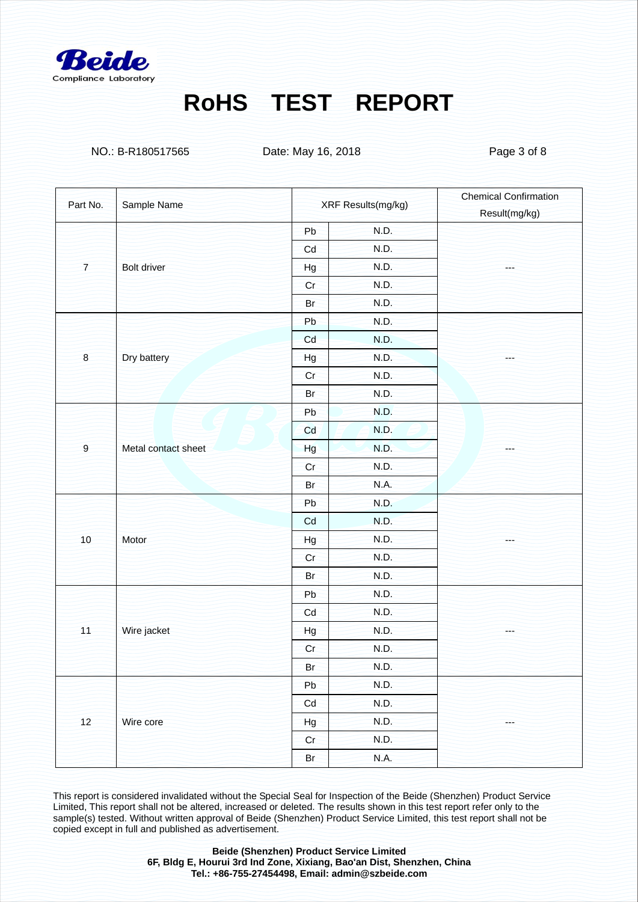

NO.: B-R180517565 Date: May 16, 2018 Date: May 16, 2018

| Sample Name<br>Part No. |                     | XRF Results(mg/kg) |             | <b>Chemical Confirmation</b> |
|-------------------------|---------------------|--------------------|-------------|------------------------------|
|                         |                     |                    |             | Result(mg/kg)                |
|                         |                     | Pb                 | N.D.        |                              |
|                         |                     | Cd                 | N.D.        |                              |
| $\overline{7}$          | Bolt driver         | Hg                 | N.D.        | ---                          |
|                         |                     | Cr                 | N.D.        |                              |
|                         |                     | Br                 | N.D.        |                              |
|                         |                     | Pb                 | N.D.        |                              |
|                         |                     | Cd                 | N.D.        |                              |
| $\boldsymbol{8}$        | Dry battery         | Hg                 | N.D.        | ---                          |
|                         |                     | Cr                 | <b>N.D.</b> |                              |
|                         |                     | Br                 | N.D.        |                              |
|                         |                     | Pb                 | N.D.        |                              |
|                         |                     | Cd                 | N.D.        |                              |
| $\overline{9}$          | Metal contact sheet | Hg                 | N.D.        | ---                          |
|                         |                     | Cr                 | N.D.        |                              |
|                         |                     | Br                 | N.A.        |                              |
|                         | Motor               | Pb                 | N.D.        |                              |
|                         |                     | Cd                 | N.D.        |                              |
| 10                      |                     | Hg                 | N.D.        | ---                          |
|                         |                     | Cr                 | N.D.        |                              |
|                         |                     | Br                 | N.D.        |                              |
|                         | Wire jacket         | Pb                 | N.D.        |                              |
|                         |                     | Cd                 | N.D.        |                              |
| 11                      |                     | Hg                 | N.D.        | ---                          |
|                         |                     | Cr                 | N.D.        |                              |
|                         |                     | Br                 | N.D.        |                              |
| 12                      | Wire core           | Pb                 | N.D.        |                              |
|                         |                     | Cd                 | N.D.        |                              |
|                         |                     | Hg                 | N.D.        | ---                          |
|                         |                     | Cr                 | N.D.        |                              |
|                         |                     | <b>Br</b>          | N.A.        |                              |

This report is considered invalidated without the Special Seal for Inspection of the Beide (Shenzhen) Product Service Limited, This report shall not be altered, increased or deleted. The results shown in this test report refer only to the sample(s) tested. Without written approval of Beide (Shenzhen) Product Service Limited, this test report shall not be copied except in full and published as advertisement.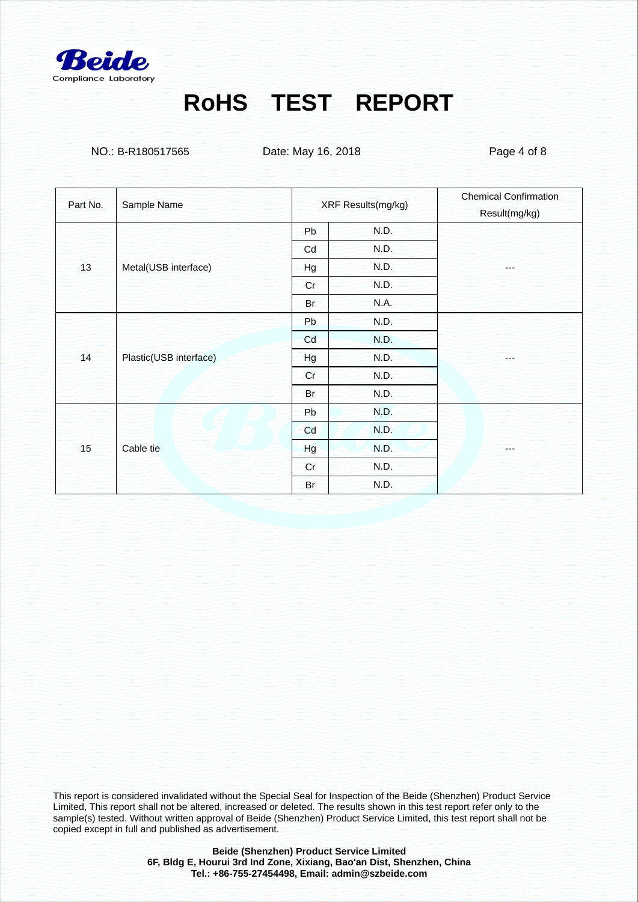

NO.: B-R180517565 Date: May 16, 2018 Date: May 16, 2018

| Part No. |                        |                    |      | <b>Chemical Confirmation</b> |
|----------|------------------------|--------------------|------|------------------------------|
|          | Sample Name            | XRF Results(mg/kg) |      | Result(mg/kg)                |
| 13       | Metal(USB interface)   | Pb                 | N.D. |                              |
|          |                        | Cd                 | N.D. |                              |
|          |                        | Hg                 | N.D. | ---                          |
|          |                        | Cr                 | N.D. |                              |
|          |                        | Br                 | N.A. |                              |
| 14       | Plastic(USB interface) | Pb                 | N.D. |                              |
|          |                        | Cd                 | N.D. |                              |
|          |                        | Hg                 | N.D. | ---                          |
|          |                        | Cr                 | N.D. |                              |
|          |                        | Br                 | N.D. |                              |
| 15       | Cable tie              | Pb                 | N.D. |                              |
|          |                        | Cd                 | N.D. |                              |
|          |                        | Hg                 | N.D. | ---                          |
|          |                        | Cr                 | N.D. |                              |
|          |                        | Br                 | N.D. |                              |

This report is considered invalidated without the Special Seal for Inspection of the Beide (Shenzhen) Product Service Limited, This report shall not be altered, increased or deleted. The results shown in this test report refer only to the sample(s) tested. Without written approval of Beide (Shenzhen) Product Service Limited, this test report shall not be copied except in full and published as advertisement.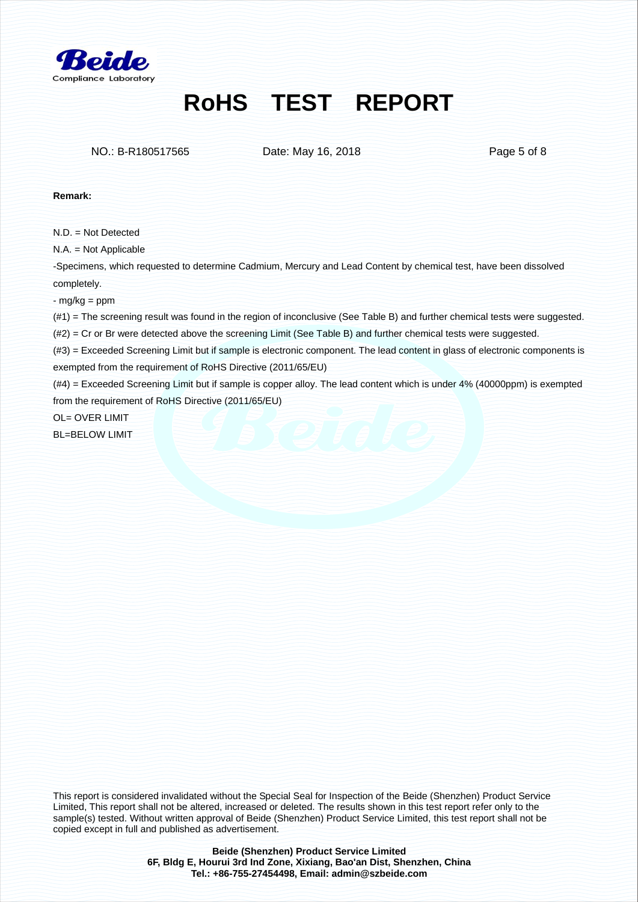

NO.: B-R180517565 Date: May 16, 2018 Date: May 16, 2018

#### **Remark:**

 $N.D = Not$  Detected

N.A. = Not Applicable

-Specimens, which requested to determine Cadmium, Mercury and Lead Content by chemical test, have been dissolved completely.

- mg/kg = ppm

(#1) = The screening result was found in the region of inconclusive (See Table B) and further chemical tests were suggested.

(#2) = Cr or Br were detected above the screening Limit (See Table B) and further chemical tests were suggested.

(#3) = Exceeded Screening Limit but if sample is electronic component. The lead content in glass of electronic components is exempted from the requirement of RoHS Directive (2011/65/EU)

(#4) = Exceeded Screening Limit but if sample is copper alloy. The lead content which is under 4% (40000ppm) is exempted from the requirement of RoHS Directive (2011/65/EU)

OL= OVER LIMIT BL=BELOW LIMIT

This report is considered invalidated without the Special Seal for Inspection of the Beide (Shenzhen) Product Service Limited, This report shall not be altered, increased or deleted. The results shown in this test report refer only to the sample(s) tested. Without written approval of Beide (Shenzhen) Product Service Limited, this test report shall not be copied except in full and published as advertisement.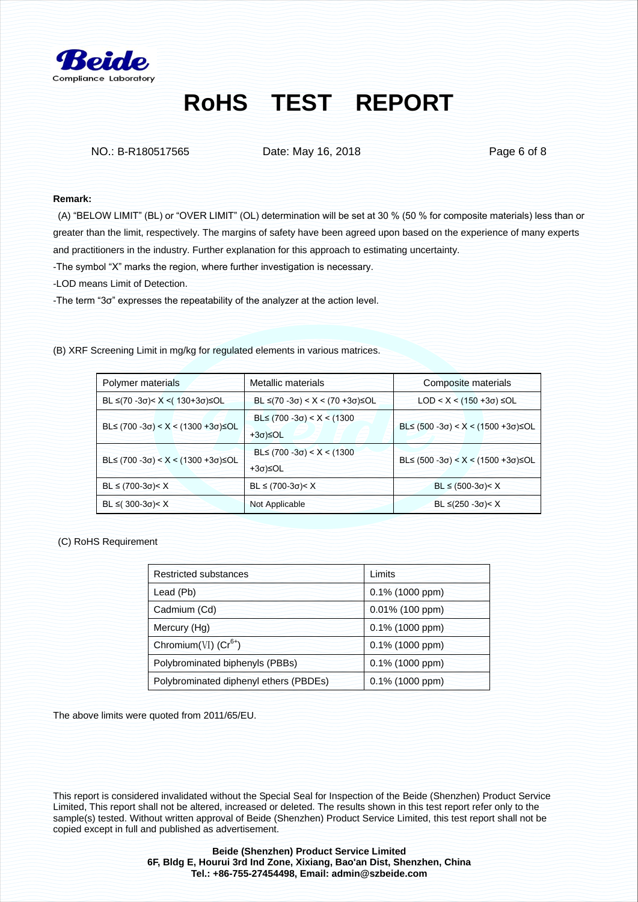

NO.: B-R180517565 Date: May 16, 2018 Date: May 16, 2018

#### **Remark:**

 (A) "BELOW LIMIT" (BL) or "OVER LIMIT" (OL) determination will be set at 30 % (50 % for composite materials) less than or greater than the limit, respectively. The margins of safety have been agreed upon based on the experience of many experts and practitioners in the industry. Further explanation for this approach to estimating uncertainty.

-The symbol "X" marks the region, where further investigation is necessary.

-LOD means Limit of Detection.

-The term "3σ" expresses the repeatability of the analyzer at the action level.

(B) XRF Screening Limit in mg/kg for regulated elements in various matrices.

| Polymer materials                      | Metallic materials                     | Composite materials                 |  |
|----------------------------------------|----------------------------------------|-------------------------------------|--|
| $BL ≤ (70 - 3σ) < X < (130 + 3σ) ≤ OL$ | $BL ≤ (70 - 3σ) < X < (70 + 3σ) ≤ OL$  | $LOD < X < (150 + 3σ) ≤ OL$         |  |
| $BL≤$ (700 -3σ) < X < (1300 +3σ)≤OL    | $BL≤$ (700 -3σ) < X < (1300<br>+3σ)≤OL | $BL≤$ (500 -3σ) < X < (1500 +3σ)≤OL |  |
| BL≤ (700 -3σ) < X < (1300 +3σ)≤OL      | $BL≤$ (700 -3σ) < X < (1300<br>+3σ)≤OL | $BL≤$ (500 -3σ) < X < (1500 +3σ)≤OL |  |
| $BL ≤ (700-3σ) < X$                    | $BL ≤ (700-3σ) < X$                    | $BL ≤ (500-3σ) < X$                 |  |
| $BL ≤ (300-3σ) < X$                    | Not Applicable                         | $BL ≤ (250 - 3σ) < X$               |  |

(C) RoHS Requirement

| Restricted substances                  | Limits          |  |
|----------------------------------------|-----------------|--|
| Lead (Pb)                              | 0.1% (1000 ppm) |  |
| Cadmium (Cd)                           | 0.01% (100 ppm) |  |
| Mercury (Hg)                           | 0.1% (1000 ppm) |  |
| Chromium(VI) $(Cr^{6+})$               | 0.1% (1000 ppm) |  |
| Polybrominated biphenyls (PBBs)        | 0.1% (1000 ppm) |  |
| Polybrominated diphenyl ethers (PBDEs) | 0.1% (1000 ppm) |  |

The above limits were quoted from 2011/65/EU.

This report is considered invalidated without the Special Seal for Inspection of the Beide (Shenzhen) Product Service Limited, This report shall not be altered, increased or deleted. The results shown in this test report refer only to the sample(s) tested. Without written approval of Beide (Shenzhen) Product Service Limited, this test report shall not be copied except in full and published as advertisement.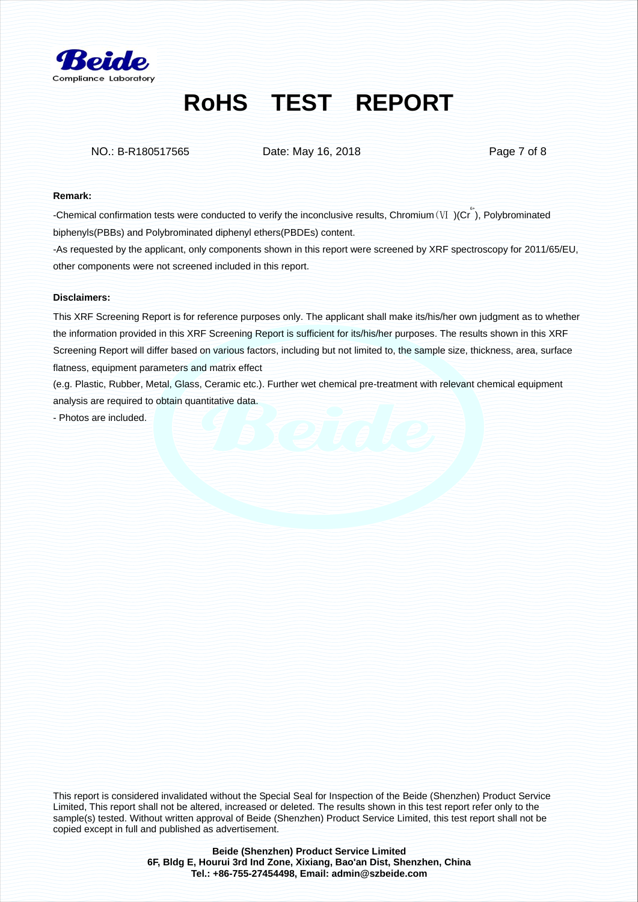

NO.: B-R180517565 Date: May 16, 2018 Date: May 16, 2018

#### **Remark:**

-Chemical confirmation tests were conducted to verify the inconclusive results, Chromium ( $VI$ )(Cr<sup>\*</sup>), Polybrominated biphenyls(PBBs) and Polybrominated diphenyl ethers(PBDEs) content.

-As requested by the applicant, only components shown in this report were screened by XRF spectroscopy for 2011/65/EU, other components were not screened included in this report.

#### **Disclaimers:**

This XRF Screening Report is for reference purposes only. The applicant shall make its/his/her own judgment as to whether the information provided in this XRF Screening Report is sufficient for its/his/her purposes. The results shown in this XRF Screening Report will differ based on various factors, including but not limited to, the sample size, thickness, area, surface flatness, equipment parameters and matrix effect

(e.g. Plastic, Rubber, Metal, Glass, Ceramic etc.). Further wet chemical pre-treatment with relevant chemical equipment analysis are required to obtain quantitative data.

- Photos are included.

This report is considered invalidated without the Special Seal for Inspection of the Beide (Shenzhen) Product Service Limited, This report shall not be altered, increased or deleted. The results shown in this test report refer only to the sample(s) tested. Without written approval of Beide (Shenzhen) Product Service Limited, this test report shall not be copied except in full and published as advertisement.